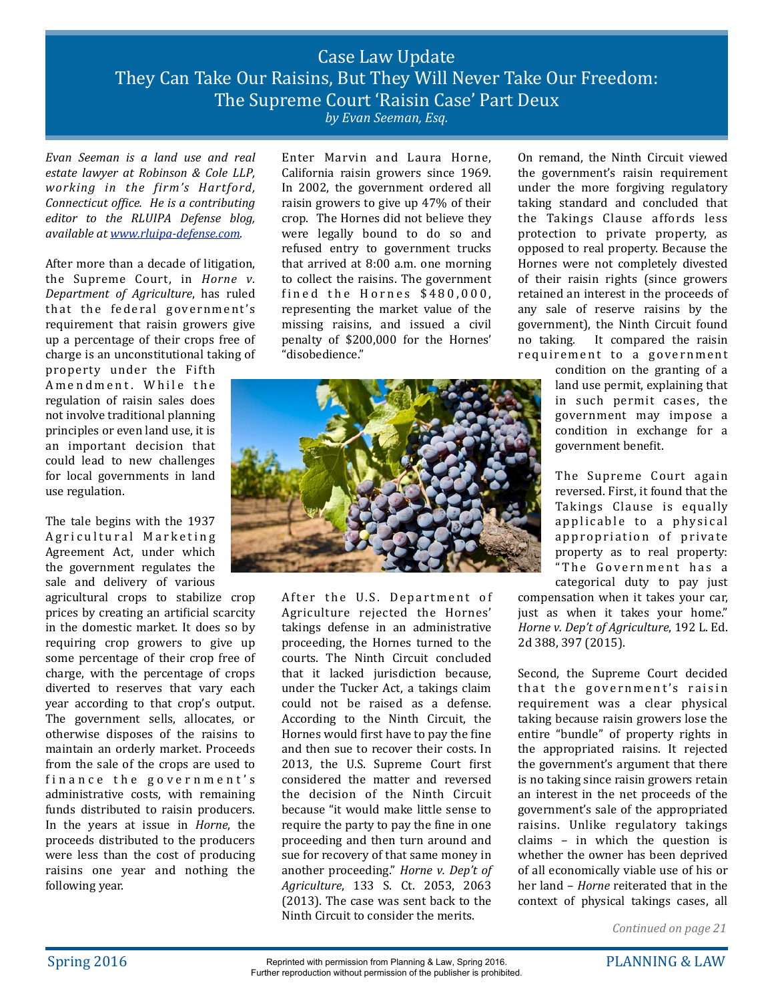## Case Law Update They Can Take Our Raisins, But They Will Never Take Our Freedom: The Supreme Court 'Raisin Case' Part Deux *by Evan Seeman, Esq.*

*Evan Seeman is a land use and real estate lawyer at Robinson & Cole LLP,* working in the firm's Hartford, *Connecticut office. He is a contributing editor* to the RLUIPA Defense blog, *available at [www.rluipa-defense.com.](http://www.rluipa-defense.com)*

After more than a decade of litigation, the Supreme Court, in *Horne* v. *Department of Agriculture*, has ruled that the federal government's requirement that raisin growers give up a percentage of their crops free of charge is an unconstitutional taking of

property under the Fifth Amendment. While the regulation of raisin sales does not involve traditional planning principles or even land use, it is an important decision that could lead to new challenges for local governments in land use regulation.

The tale begins with the 1937 Agricultural Marketing Agreement Act, under which the government regulates the sale and delivery of various

agricultural crops to stabilize crop prices by creating an artificial scarcity in the domestic market. It does so by requiring crop growers to give up some percentage of their crop free of charge, with the percentage of crops diverted to reserves that vary each year according to that crop's output. The government sells, allocates, or otherwise disposes of the raisins to maintain an orderly market. Proceeds from the sale of the crops are used to finance the government's administrative costs, with remaining funds distributed to raisin producers. In the years at issue in *Horne*, the proceeds distributed to the producers were less than the cost of producing raisins one year and nothing the following year.

Enter Marvin and Laura Horne, California raisin growers since 1969. In 2002, the government ordered all raisin growers to give up  $47\%$  of their crop. The Hornes did not believe they were legally bound to do so and refused entry to government trucks that arrived at  $8:00$  a.m. one morning to collect the raisins. The government fined the Hornes  $$480,000$ , representing the market value of the missing raisins, and issued a civil penalty of \$200,000 for the Hornes' "disobedience." 



After the U.S. Department of Agriculture rejected the Hornes' takings defense in an administrative proceeding, the Hornes turned to the courts. The Ninth Circuit concluded that it lacked jurisdiction because, under the Tucker Act, a takings claim could not be raised as a defense. According to the Ninth Circuit, the Hornes would first have to pay the fine and then sue to recover their costs. In 2013, the U.S. Supreme Court first considered the matter and reversed the decision of the Ninth Circuit because "it would make little sense to require the party to pay the fine in one proceeding and then turn around and sue for recovery of that same money in another proceeding." Horne v. Dep't of *Agriculture*, 133 S. Ct. 2053, 2063  $(2013)$ . The case was sent back to the Ninth Circuit to consider the merits.

On remand, the Ninth Circuit viewed the government's raisin requirement under the more forgiving regulatory taking standard and concluded that the Takings Clause affords less protection to private property, as opposed to real property. Because the Hornes were not completely divested of their raisin rights (since growers retained an interest in the proceeds of any sale of reserve raisins by the government), the Ninth Circuit found no taking. It compared the raisin requirement to a government

condition on the granting of a land use permit, explaining that in such permit cases, the government may impose a condition in exchange for a government benefit.

The Supreme Court again reversed. First, it found that the Takings Clause is equally applicable to a physical appropriation of private property as to real property: "The Government has a

categorical duty to pay just compensation when it takes your car, just as when it takes your home." *Horne v. Dep't of Agriculture*, 192 L. Ed. 2d 388, 397 (2015). 

Second, the Supreme Court decided that the government's raisin requirement was a clear physical taking because raisin growers lose the entire "bundle" of property rights in the appropriated raisins. It rejected the government's argument that there is no taking since raisin growers retain an interest in the net proceeds of the government's sale of the appropriated raisins. Unlike regulatory takings claims  $-$  in which the question is whether the owner has been deprived of all economically viable use of his or her land – *Horne* reiterated that in the context of physical takings cases, all

*Continued on page 21*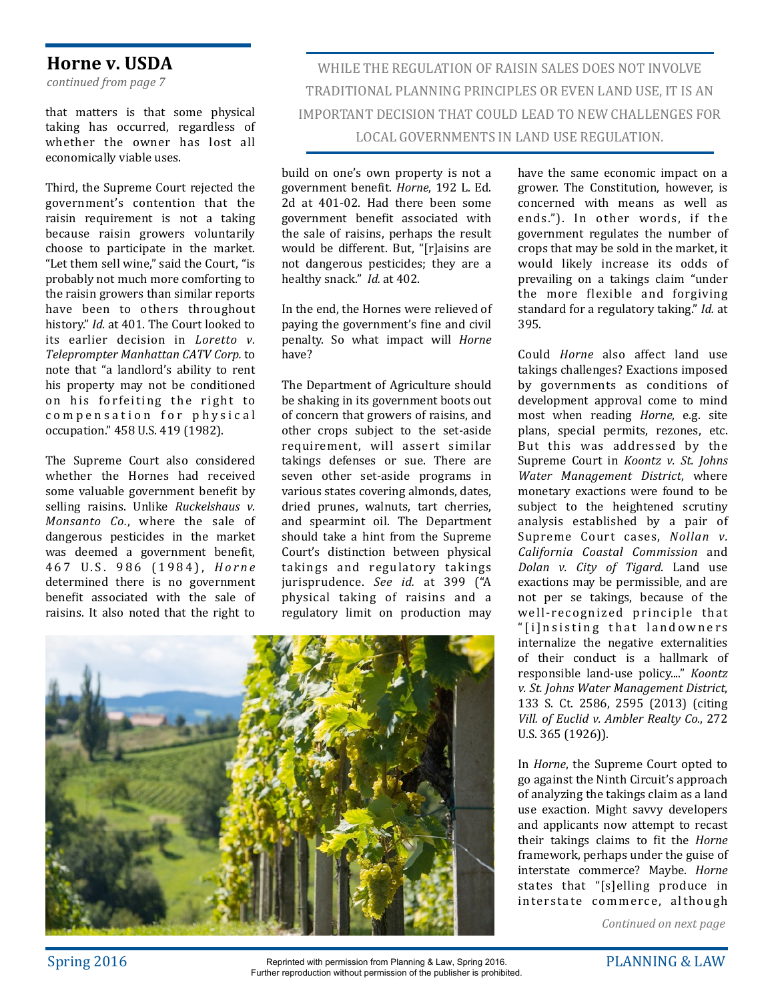### **Horne v.** USDA

*continued from page 7*

that matters is that some physical taking has occurred, regardless of whether the owner has lost all economically viable uses.

Third, the Supreme Court rejected the government's contention that the raisin requirement is not a taking because raisin growers voluntarily choose to participate in the market. "Let them sell wine," said the Court, "is probably not much more comforting to the raisin growers than similar reports have been to others throughout history." *Id.* at 401. The Court looked to its earlier decision in *Loretto v*. *Teleprompter Manhattan CATV Corp.* to note that "a landlord's ability to rent his property may not be conditioned on his forfeiting the right to compensation for physical occupation." 458 U.S. 419 (1982).

The Supreme Court also considered whether the Hornes had received some valuable government benefit by selling raisins. Unlike *Ruckelshaus* v. *Monsanto Co.*, where the sale of dangerous pesticides in the market was deemed a government benefit, 4 6 7 U . S . 9 8 6 ( 1 9 8 4 ) , *Horne* determined there is no government benefit associated with the sale of raisins. It also noted that the right to

WHILE THE REGULATION OF RAISIN SALES DOES NOT INVOLVE TRADITIONAL PLANNING PRINCIPLES OR EVEN LAND USE, IT IS AN IMPORTANT DECISION THAT COULD LEAD TO NEW CHALLENGES FOR LOCAL GOVERNMENTS IN LAND USE REGULATION.

build on one's own property is not a government benefit. *Horne*, 192 L. Ed. 2d at 401-02. Had there been some government benefit associated with the sale of raisins, perhaps the result would be different. But, "[r]aisins are not dangerous pesticides; they are a healthy snack." *Id.* at 402.

In the end, the Hornes were relieved of paying the government's fine and civil penalty. So what impact will *Horne* have? 

The Department of Agriculture should be shaking in its government boots out of concern that growers of raisins, and other crops subject to the set-aside requirement, will assert similar takings defenses or sue. There are seven other set-aside programs in various states covering almonds, dates, dried prunes, walnuts, tart cherries, and spearmint oil. The Department should take a hint from the Supreme Court's distinction between physical takings and regulatory takings jurisprudence. See id. at 399 ("A physical taking of raisins and a regulatory limit on production may



have the same economic impact on a grower. The Constitution, however, is concerned with means as well as ends."). In other words, if the government regulates the number of crops that may be sold in the market, it would likely increase its odds of prevailing on a takings claim "under the more flexible and forgiving standard for a regulatory taking." *Id.* at 395.

Could *Horne* also affect land use takings challenges? Exactions imposed by governments as conditions of development approval come to mind most when reading *Horne*, e.g. site plans, special permits, rezones, etc. But this was addressed by the Supreme Court in *Koontz v. St. Johns Water Management District*, where monetary exactions were found to be subject to the heightened scrutiny analysis established by a pair of Supreme Court cases, *Nollan v. California Coastal Commission* and *Dolan v. City of Tigard*. Land use exactions may be permissible, and are not per se takings, because of the well-recognized principle that " [i]nsisting that landowners internalize the negative externalities of their conduct is a hallmark of responsible land-use policy...." *Koontz v. St. Johns Water Management District*, 133 S. Ct. 2586, 2595 (2013) (citing Vill. of Euclid v. Ambler Realty Co., 272 U.S. 365 (1926)).

In *Horne*, the Supreme Court opted to go against the Ninth Circuit's approach of analyzing the takings claim as a land use exaction. Might savvy developers and applicants now attempt to recast their takings claims to fit the *Horne* framework, perhaps under the guise of interstate commerce? Maybe. *Horne* states that "[s]elling produce in interstate commerce, although

*Continued on next page*